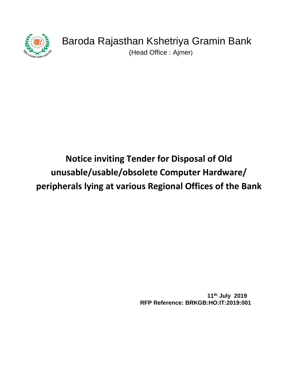

(Head Office : Ajmer)

# **Notice inviting Tender for Disposal of Old unusable/usable/obsolete Computer Hardware/ peripherals lying at various Regional Offices of the Bank**

 **11th July 2019 RFP Reference: BRKGB:HO:IT:2019:001**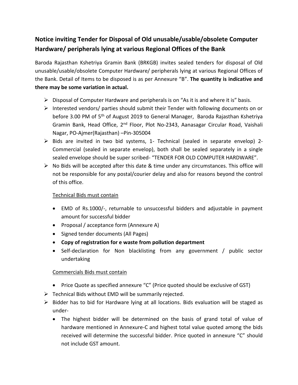## **Notice inviting Tender for Disposal of Old unusable/usable/obsolete Computer Hardware/ peripherals lying at various Regional Offices of the Bank**

Baroda Rajasthan Kshetriya Gramin Bank (BRKGB) invites sealed tenders for disposal of Old unusable/usable/obsolete Computer Hardware/ peripherals lying at various Regional Offices of the Bank. Detail of Items to be disposed is as per Annexure "B". **The quantity is indicative and there may be some variation in actual.**

- $\triangleright$  Disposal of Computer Hardware and peripherals is on "As it is and where it is" basis.
- $\triangleright$  Interested vendors/ parties should submit their Tender with following documents on or before 3.00 PM of 5<sup>th</sup> of August 2019 to General Manager, Baroda Rajasthan Kshetriya Gramin Bank, Head Office, 2<sup>nd</sup> Floor, Plot No-2343, Aanasagar Circular Road, Vaishali Nagar, PO-Ajmer(Rajasthan) –Pin-305004
- $\triangleright$  Bids are invited in two bid systems, 1- Technical (sealed in separate envelop) 2-Commercial (sealed in separate envelop), both shall be sealed separately in a single sealed envelope should be super scribed- "TENDER FOR OLD COMPUTER HARDWARE".
- $\triangleright$  No Bids will be accepted after this date & time under any circumstances. This office will not be responsible for any postal/courier delay and also for reasons beyond the control of this office.

### Technical Bids must contain

- EMD of Rs.1000/-, returnable to unsuccessful bidders and adjustable in payment amount for successful bidder
- Proposal / acceptance form (Annexure A)
- Signed tender documents (All Pages)
- **Copy of registration for e waste from pollution department**
- Self-declaration for Non blacklisting from any government / public sector undertaking

### Commercials Bids must contain

- Price Quote as specified annexure "C" (Price quoted should be exclusive of GST)
- $\triangleright$  Technical Bids without EMD will be summarily rejected.
- $\triangleright$  Bidder has to bid for Hardware lying at all locations. Bids evaluation will be staged as under-
	- The highest bidder will be determined on the basis of grand total of value of hardware mentioned in Annexure-C and highest total value quoted among the bids received will determine the successful bidder. Price quoted in annexure "C" should not include GST amount.